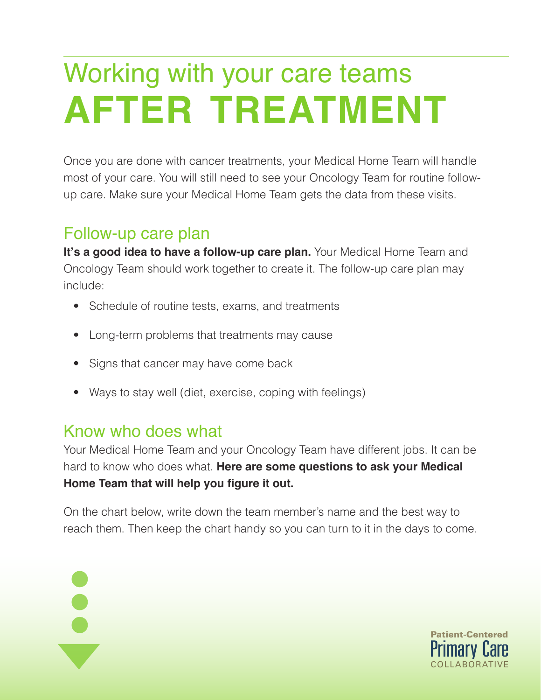## Working with your care teams **after treatment**

Once you are done with cancer treatments, your Medical Home Team will handle most of your care. You will still need to see your Oncology Team for routine followup care. Make sure your Medical Home Team gets the data from these visits.

## Follow-up care plan

**It's a good idea to have a follow-up care plan.** Your Medical Home Team and Oncology Team should work together to create it. The follow-up care plan may include:

- Schedule of routine tests, exams, and treatments
- Long-term problems that treatments may cause
- Signs that cancer may have come back
- Ways to stay well (diet, exercise, coping with feelings)

## Know who does what

Your Medical Home Team and your Oncology Team have different jobs. It can be hard to know who does what. **Here are some questions to ask your Medical Home Team that will help you figure it out.** 

On the chart below, write down the team member's name and the best way to reach them. Then keep the chart handy so you can turn to it in the days to come.